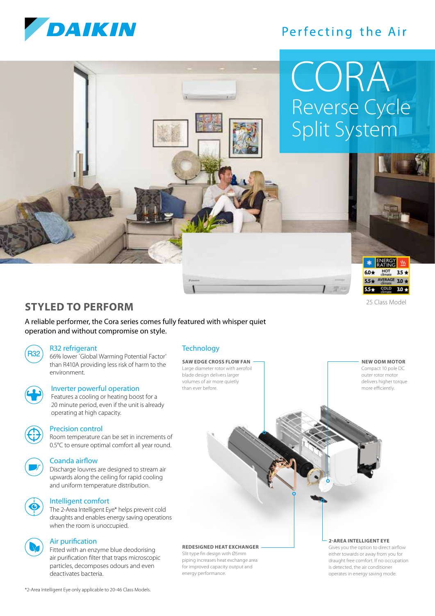

## Perfecting the Air

# Reverse Cycle Split System CORA



#### 25 Class Model

**NEW ODM MOTOR** Compact 10 pole DC outer rotor motor delivers higher torque more efficiently.

### **STYLED TO PERFORM**

A reliable performer, the Cora series comes fully featured with whisper quiet operation and without compromise on style.

R32 refrigerant

R32) 66% lower `Global Warming Potential Factor' than R410A providing less risk of harm to the environment.



### Inverter powerful operation

 Features a cooling or heating boost for a 20 minute period, even if the unit is already operating at high capacity.



### Precision control

 Room temperature can be set in increments of 0.5°C to ensure optimal comfort all year round.



### Coanda airflow

 Discharge louvres are designed to stream air upwards along the ceiling for rapid cooling and uniform temperature distribution.

### Intelligent comfort

 The 2-Area Intelligent Eye\* helps prevent cold draughts and enables energy saving operations when the room is unoccupied.



#### Air purification

 Fitted with an enzyme blue deodorising air purification filter that traps microscopic particles, decomposes odours and even deactivates bacteria.

### **Technology**

**SAW EDGE CROSS FLOW FAN** Large diameter rotor with aerofoil blade design delivers larger volumes of air more quietly than ever before.

### **REDESIGNED HEAT EXCHANGER**

Slit type fin design with Ø5mm piping increases heat exchange area for improved capacity output and energy performance.

### **2-AREA INTELLIGENT EYE**

Gives you the option to direct airflow either towards or away from you for draught free comfort. If no occupation is detected, the air conditioner operates in energy saving mode.